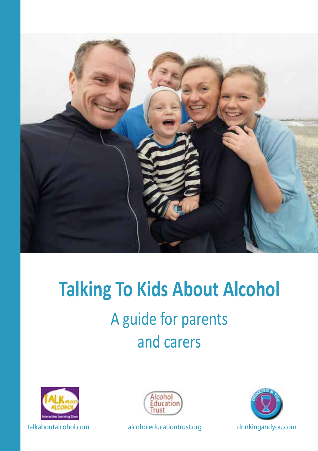

# **Talking To Kids About Alcohol** A guide for parents and carers





[talkaboutalcohol.com](http://www.talkaboutalcohol.com) [alcoholeducationtrust.org](http://www.alcoholeducationtrust.org) [drinkingandyou.com](http://www.drinkingandyou.com)

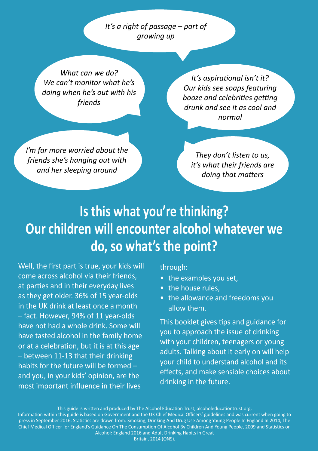*It's a right of passage – part of growing up*

*What can we do? We can't monitor what he's doing when he's out with his friends*

*It's aspirational isn't it? Our kids see soaps featuring booze and celebrities getting drunk and see it as cool and normal*

*I'm far more worried about the friends she's hanging out with and her sleeping around*

*They don't listen to us, it's what their friends are doing that matters* 

**Is this what you're thinking? Our children will encounter alcohol whatever we do, so what's the point?**

Well, the first part is true, your kids will come across alcohol via their friends, at parties and in their everyday lives as they get older. 36% of 15 year-olds in the UK drink at least once a month – fact. However, 94% of 11 year-olds have not had a whole drink. Some will have tasted alcohol in the family home or at a celebration, but it is at this age – between 11-13 that their drinking habits for the future will be formed – and you, in your kids' opinion, are the most important influence in their lives

through:

- the examples you set,
- the house rules.
- the allowance and freedoms you allow them.

This booklet gives tips and guidance for you to approach the issue of drinking with your children, teenagers or young adults. Talking about it early on will help your child to understand alcohol and its effects, and make sensible choices about drinking in the future.

This guide is written and produced by The Alcohol Education Trust, [alcoholeducationtrust.org.](http://www.alcoholeducationtrust.org) Information within this guide is based on Government and the UK Chief Medical Officers' guidelines and was current when going to press in September 2016. Statistics are drawn from: Smoking, Drinking And Drug Use Among Young People In England In 2014, The Chief Medical Officer for England's Guidance On The Consumption Of Alcohol By Children And Young People, 2009 and Statistics on Alcohol: England 2016 and Adult Drinking Habits in Great Britain, 2014 (ONS).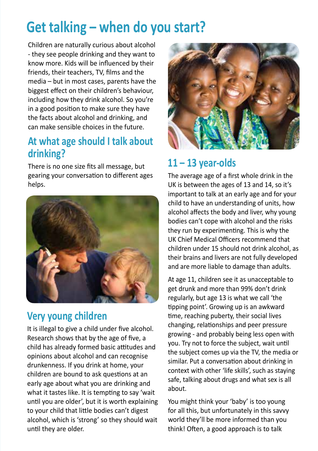## **Get talking – when do you start?**

Children are naturally curious about alcohol - they see people drinking and they want to know more. Kids will be influenced by their friends, their teachers, TV, films and the media – but in most cases, parents have the biggest effect on their children's behaviour, including how they drink alcohol. So you're in a good position to make sure they have the facts about alcohol and drinking, and can make sensible choices in the future.

#### **At what age should I talk about drinking?**

There is no one size fits all message, but gearing your conversation to different ages helps.



### **Very young children**

It is illegal to give a child under five alcohol. Research shows that by the age of five, a child has already formed basic attitudes and opinions about alcohol and can recognise drunkenness. If you drink at home, your children are bound to ask questions at an early age about what you are drinking and what it tastes like. It is tempting to say 'wait until you are older', but it is worth explaining to your child that little bodies can't digest alcohol, which is 'strong' so they should wait until they are older.



### **11 – 13 year-olds**

The average age of a first whole drink in the UK is between the ages of 13 and 14, so it's important to talk at an early age and for your child to have an understanding of units, how alcohol affects the body and liver, why young bodies can't cope with alcohol and the risks they run by experimenting. This is why the UK Chief Medical Officers recommend that children under 15 should not drink alcohol, as their brains and livers are not fully developed and are more liable to damage than adults.

At age 11, children see it as unacceptable to get drunk and more than 99% don't drink regularly, but age 13 is what we call 'the tipping point'. Growing up is an awkward time, reaching puberty, their social lives changing, relationships and peer pressure growing - and probably being less open with you. Try not to force the subject, wait until the subject comes up via the TV, the media or similar. Put a conversation about drinking in context with other 'life skills', such as staying safe, talking about drugs and what sex is all about.

You might think your 'baby' is too young for all this, but unfortunately in this savvy world they'll be more informed than you think! Often, a good approach is to talk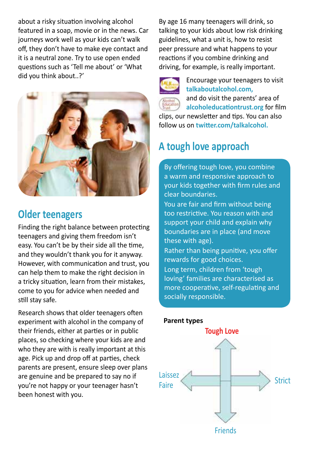about a risky situation involving alcohol featured in a soap, movie or in the news. Car journeys work well as your kids can't walk off, they don't have to make eye contact and it is a neutral zone. Try to use open ended questions such as 'Tell me about' or 'What did you think about..?'



### **Older teenagers**

Finding the right balance between protecting teenagers and giving them freedom isn't easy. You can't be by their side all the time, and they wouldn't thank you for it anyway. However, with communication and trust, you can help them to make the right decision in a tricky situation, learn from their mistakes, come to you for advice when needed and still stay safe.

Research shows that older teenagers often experiment with alcohol in the company of their friends, either at parties or in public places, so checking where your kids are and who they are with is really important at this age. Pick up and drop off at parties, check parents are present, ensure sleep over plans are genuine and be prepared to say no if you're not happy or your teenager hasn't been honest with you.

By age 16 many teenagers will drink, so talking to your kids about low risk drinking guidelines, what a unit is, how to resist peer pressure and what happens to your reactions if you combine drinking and driving, for example, is really important.



Encourage your teenagers to visit **[talkaboutalcohol.com,](http://talkaboutalcohol.com)** and do visit the parents' area of

**[alcoholeducationtrust.org](http://www.alcoholeducationtrust.org)** for film clips, our newsletter and tips. You can also follow us on **[twitter.com/](http://twitter.com/talkalcohol)talkalcohol.**

### **A tough love approach**

By offering tough love, you combine a warm and responsive approach to your kids together with firm rules and clear boundaries.

You are fair and firm without being too restrictive. You reason with and support your child and explain why boundaries are in place (and move these with age).

Rather than being punitive, you offer rewards for good choices.

Long term, children from 'tough loving' families are characterised as more cooperative, self-regulating and socially responsible.

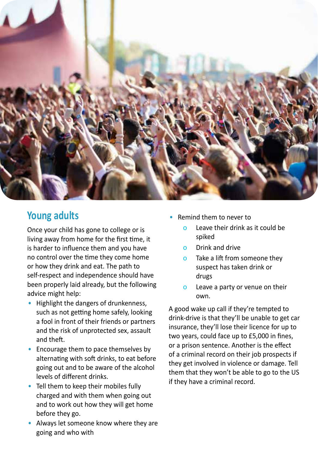

#### **Young adults**

Once your child has gone to college or is living away from home for the first time, it is harder to influence them and you have no control over the time they come home or how they drink and eat. The path to self-respect and independence should have been properly laid already, but the following advice might help:

- Highlight the dangers of drunkenness, such as not getting home safely, looking a fool in front of their friends or partners and the risk of unprotected sex, assault and theft.
- Encourage them to pace themselves by alternating with soft drinks, to eat before going out and to be aware of the alcohol levels of different drinks.
- Tell them to keep their mobiles fully charged and with them when going out and to work out how they will get home before they go.
- Always let someone know where they are going and who with
- Remind them to never to
	- o Leave their drink as it could be spiked
	- o Drink and drive
	- o Take a lift from someone they suspect has taken drink or drugs
	- o Leave a party or venue on their own.

A good wake up call if they're tempted to drink-drive is that they'll be unable to get car insurance, they'll lose their licence for up to two years, could face up to £5,000 in fines, or a prison sentence. Another is the effect of a criminal record on their job prospects if they get involved in violence or damage. Tell them that they won't be able to go to the US if they have a criminal record.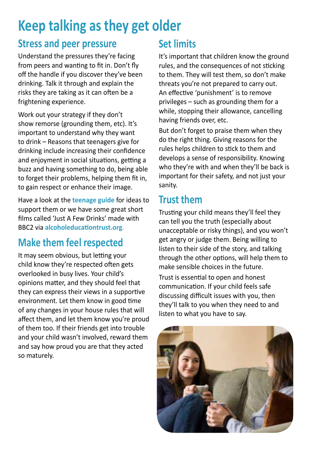## **Keep talking as they get older**

### **Stress and peer pressure**

Understand the pressures they're facing from peers and wanting to fit in. Don't fly off the handle if you discover they've been drinking. Talk it through and explain the risks they are taking as it can often be a frightening experience.

Work out your strategy if they don't show remorse (grounding them, etc). It's important to understand why they want to drink – Reasons that teenagers give for drinking include increasing their confidence and enjoyment in social situations, getting a buzz and having something to do, being able to forget their problems, helping them fit in, to gain respect or enhance their image.

Have a look at the **[teenage guide](http://www.alcoholeducationtrust.org/wp-content/uploads/2015/04/TeenGuide.pdf)** for ideas to support them or we have some great short films called 'Just A Few Drinks' made with BBC2 via **[alcoholeducationtrust.org](http://www.alcoholeducationtrust.org)**.

### **Make them feel respected**

It may seem obvious, but letting your child know they're respected often gets overlooked in busy lives. Your child's opinions matter, and they should feel that they can express their views in a supportive environment. Let them know in good time of any changes in your house rules that will affect them, and let them know you're proud of them too. If their friends get into trouble and your child wasn't involved, reward them and say how proud you are that they acted so maturely.

### **Set limits**

It's important that children know the ground rules, and the consequences of not sticking to them. They will test them, so don't make threats you're not prepared to carry out. An effective 'punishment' is to remove privileges – such as grounding them for a while, stopping their allowance, cancelling having friends over, etc.

But don't forget to praise them when they do the right thing. Giving reasons for the rules helps children to stick to them and develops a sense of responsibility. Knowing who they're with and when they'll be back is important for their safety, and not just your sanity.

### **Trust them**

Trusting your child means they'll feel they can tell you the truth (especially about unacceptable or risky things), and you won't get angry or judge them. Being willing to listen to their side of the story, and talking through the other options, will help them to make sensible choices in the future.

Trust is essential to open and honest communication. If your child feels safe discussing difficult issues with you, then they'll talk to you when they need to and listen to what you have to say.

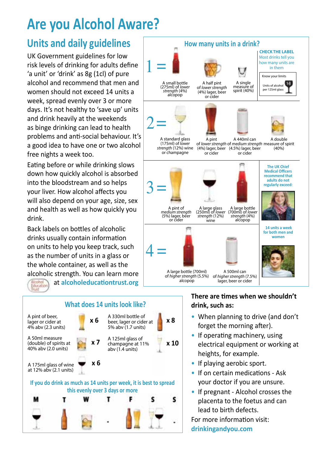## **Are you Alcohol Aware?**

### **Units and daily guidelines**

UK Government guidelines for low risk levels of drinking for adults define 'a unit' or 'drink' as 8g (1cl) of pure alcohol and recommend that men and women should not exceed 14 units a week, spread evenly over 3 or more days. It's not healthy to 'save up' units and drink heavily at the weekends as binge drinking can lead to health problems and anti-social behaviour. It's a good idea to have one or two alcohol free nights a week too.

Eating before or while drinking slows down how quickly alcohol is absorbed into the bloodstream and so helps your liver. How alcohol affects you will also depend on your age, size, sex and health as well as how quickly you drink.

Back labels on bottles of alcoholic drinks usually contain information on units to help you keep track, such as the number of units in a glass or the whole container, as well as the alcoholic strength. You can learn more Alcohol at **alcoholeducationtrust.org**Educatio





#### **There are times when we shouldn't drink, such as:**

- When planning to drive (and don't forget the morning after).
- If operating machinery, using electrical equipment or working at heights, for example.
- If playing aerobic sport.
- If on certain medications Ask your doctor if you are unsure.
- If pregnant Alcohol crosses the placenta to the foetus and can lead to birth defects.

For more information visit: **[drinkingandyou.com](http://www.drinkingandyou.com)**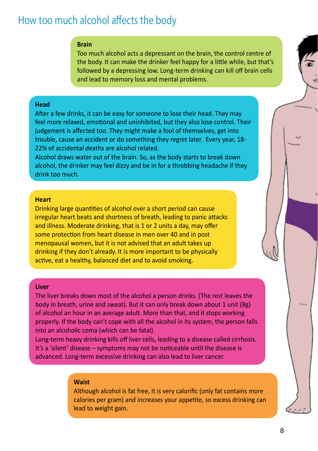### How too much alcohol affects the body

#### **Brain**

Too much alcohol acts a depressant on the brain, the control centre of the body. It can make the drinker feel happy for a little while, but that's followed by a depressing low. Long-term drinking can kill off brain cells and lead to memory loss and mental problems.

#### **Head**

After a few drinks, it can be easy for someone to lose their head. They may feel more relaxed, emotional and uninhibited, but they also lose control. Their judgement is affected too. They might make a fool of themselves, get into trouble, cause an accident or do something they regret later. Every year, 18- 22% of accidental deaths are alcohol related.

Alcohol draws water out of the brain. So, as the body starts to break down alcohol, the drinker may feel dizzy and be in for a throbbing headache if they drink too much.

#### **Heart**

Drinking large quantities of alcohol over a short period can cause irregular heart beats and shortness of breath, leading to panic attacks and illness. Moderate drinking, that is 1 or 2 units a day, may offer some protection from heart disease in men over 40 and in post menopausal women, but it is not advised that an adult takes up drinking if they don't already. It is more important to be physically active, eat a healthy, balanced diet and to avoid smoking.

#### **Liver**

The liver breaks down most of the alcohol a person drinks. (The rest leaves the body in breath, urine and sweat). But it can only break down about 1 unit (8g) of alcohol an hour in an average adult. More than that, and it stops working properly. If the body can't cope with all the alcohol in its system, the person falls into an alcoholic coma (which can be fatal).

Long-term heavy drinking kills off liver cells, leading to a disease called cirrhosis. It's a 'silent' disease – symptoms may not be noticeable until the disease is advanced. Long-term excessive drinking can also lead to liver cancer.

#### **Waist**

Although alcohol is fat free, it is very calorific (only fat contains more calories per gram) and increases your appetite, so excess drinking can lead to weight gain.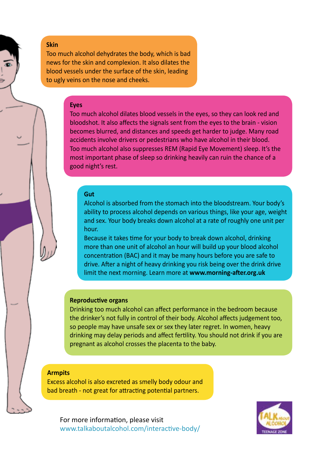#### **Skin**

Too much alcohol dehydrates the body, which is bad news for the skin and complexion. It also dilates the blood vessels under the surface of the skin, leading to ugly veins on the nose and cheeks.

#### **Eyes**

Too much alcohol dilates blood vessels in the eyes, so they can look red and bloodshot. It also affects the signals sent from the eyes to the brain - vision becomes blurred, and distances and speeds get harder to judge. Many road accidents involve drivers or pedestrians who have alcohol in their blood. Too much alcohol also suppresses REM (Rapid Eye Movement) sleep. It's the most important phase of sleep so drinking heavily can ruin the chance of a good night's rest.

#### **Gut**

Alcohol is absorbed from the stomach into the bloodstream. Your body's ability to process alcohol depends on various things, like your age, weight and sex. Your body breaks down alcohol at a rate of roughly one unit per hour.

Because it takes time for your body to break down alcohol, drinking more than one unit of alcohol an hour will build up your blood alcohol concentration (BAC) and it may be many hours before you are safe to drive. After a night of heavy drinking you risk being over the drink drive limit the next morning. Learn more at **[www.morning-after.org.](http://www.morning-after.org.uk)uk**

#### **Reproductive organs**

Drinking too much alcohol can affect performance in the bedroom because the drinker's not fully in control of their body. Alcohol affects judgement too, so people may have unsafe sex or sex they later regret. In women, heavy drinking may delay periods and affect fertility. You should not drink if you are pregnant as alcohol crosses the placenta to the baby.

#### **Armpits**

Excess alcohol is also excreted as smelly body odour and bad breath - not great for attracting potential partners.

<u>ي</u>

For more information, please visit [www.talkaboutalcohol.com/interactive-body/](http://www.talkaboutalcohol.com/interactive-body/)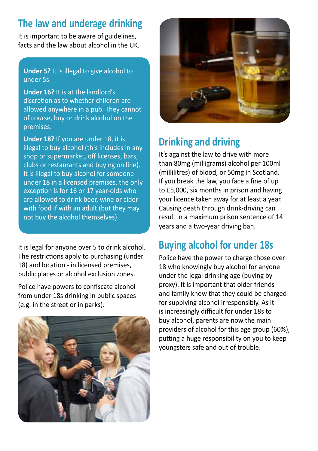### **The law and underage drinking**

It is important to be aware of guidelines, facts and the law about alcohol in the UK.

#### **Under 5?** It is illegal to give alcohol to under 5s.

**Under 16?** It is at the landlord's discretion as to whether children are allowed anywhere in a pub. They cannot of course, buy or drink alcohol on the premises.

**Under 18?** If you are under 18, it is illegal to buy alcohol (this includes in any shop or supermarket, off licenses, bars, clubs or restaurants and buying on line). It is illegal to buy alcohol for someone under 18 in a licensed premises, the only exception is for 16 or 17 year-olds who are allowed to drink beer, wine or cider with food if with an adult (but they may not buy the alcohol themselves).

It is legal for anyone over 5 to drink alcohol. The restrictions apply to purchasing (under 18) and location - in licensed premises, public places or alcohol exclusion zones.

Police have powers to confiscate alcohol from under 18s drinking in public spaces (e.g. in the street or in parks).





### **Drinking and driving**

It's against the law to drive with more than 80mg (milligrams) alcohol per 100ml (millilitres) of blood, or 50mg in Scotland. If you break the law, you face a fine of up to £5,000, six months in prison and having your licence taken away for at least a year. Causing death through drink-driving can result in a maximum prison sentence of 14 years and a two-year driving ban.

### **Buying alcohol for under 18s**

Police have the power to charge those over 18 who knowingly buy alcohol for anyone under the legal drinking age (buying by proxy). It is important that older friends and family know that they could be charged for supplying alcohol irresponsibly. As it is increasingly difficult for under 18s to buy alcohol, parents are now the main providers of alcohol for this age group (60%), putting a huge responsibility on you to keep youngsters safe and out of trouble.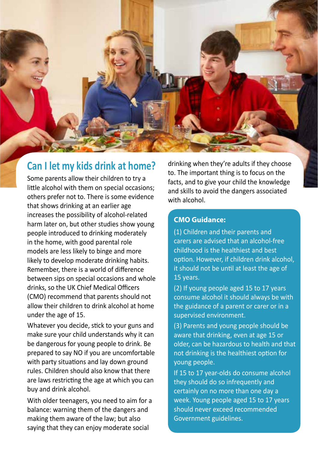

#### **Can I let my kids drink at home?**

Some parents allow their children to try a little alcohol with them on special occasions; others prefer not to. There is some evidence that shows drinking at an earlier age increases the possibility of alcohol-related harm later on, but other studies show young people introduced to drinking moderately in the home, with good parental role models are less likely to binge and more likely to develop moderate drinking habits. Remember, there is a world of difference between sips on special occasions and whole drinks, so the UK Chief Medical Officers (CMO) recommend that parents should not allow their children to drink alcohol at home under the age of 15.

Whatever you decide, stick to your guns and make sure your child understands why it can be dangerous for young people to drink. Be prepared to say NO if you are uncomfortable with party situations and lay down ground rules. Children should also know that there are laws restricting the age at which you can buy and drink alcohol.

With older teenagers, you need to aim for a balance: warning them of the dangers and making them aware of the law; but also saying that they can enjoy moderate social

drinking when they're adults if they choose to. The important thing is to focus on the facts, and to give your child the knowledge and skills to avoid the dangers associated with alcohol.

#### **CMO Guidance:**

(1) Children and their parents and carers are advised that an alcohol-free childhood is the healthiest and best option. However, if children drink alcohol, it should not be until at least the age of 15 years.

(2) If young people aged 15 to 17 years consume alcohol it should always be with the guidance of a parent or carer or in a supervised environment.

(3) Parents and young people should be aware that drinking, even at age 15 or older, can be hazardous to health and that not drinking is the healthiest option for young people.

If 15 to 17 year-olds do consume alcohol they should do so infrequently and certainly on no more than one day a week. Young people aged 15 to 17 years should never exceed recommended Government guidelines.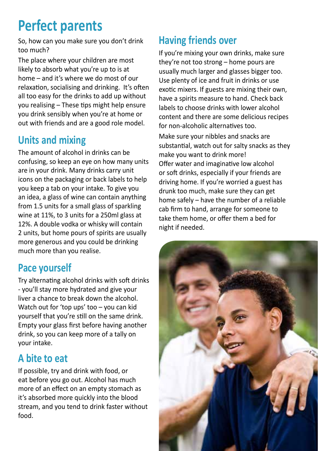## **Perfect parents**

So, how can you make sure you don't drink too much?

The place where your children are most likely to absorb what you're up to is at home – and it's where we do most of our relaxation, socialising and drinking. It's often all too easy for the drinks to add up without you realising – These tips might help ensure you drink sensibly when you're at home or out with friends and are a good role model.

### **Units and mixing**

The amount of alcohol in drinks can be confusing, so keep an eye on how many units are in your drink. Many drinks carry unit icons on the packaging or back labels to help you keep a tab on your intake. To give you an idea, a glass of wine can contain anything from 1.5 units for a small glass of sparkling wine at 11%, to 3 units for a 250ml glass at 12%. A double vodka or whisky will contain 2 units, but home pours of spirits are usually more generous and you could be drinking much more than you realise.

### **Pace yourself**

Try alternating alcohol drinks with soft drinks - you'll stay more hydrated and give your liver a chance to break down the alcohol. Watch out for 'top ups' too – you can kid yourself that you're still on the same drink. Empty your glass first before having another drink, so you can keep more of a tally on your intake.

### **A bite to eat**

If possible, try and drink with food, or eat before you go out. Alcohol has much more of an effect on an empty stomach as it's absorbed more quickly into the blood stream, and you tend to drink faster without food.

### **Having friends over**

If you're mixing your own drinks, make sure they're not too strong – home pours are usually much larger and glasses bigger too. Use plenty of ice and fruit in drinks or use exotic mixers. If guests are mixing their own, have a spirits measure to hand. Check back labels to choose drinks with lower alcohol content and there are some delicious recipes for non-alcoholic alternatives too.

Make sure your nibbles and snacks are substantial, watch out for salty snacks as they make you want to drink more! Offer water and imaginative low alcohol or soft drinks, especially if your friends are driving home. If you're worried a guest has drunk too much, make sure they can get home safely – have the number of a reliable cab firm to hand, arrange for someone to take them home, or offer them a bed for night if needed.

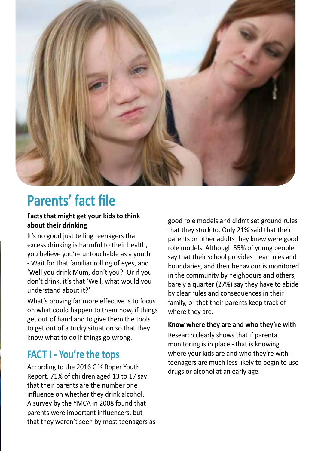

## **Parents' fact file**

#### **Facts that might get your kids to think about their drinking**

It's no good just telling teenagers that excess drinking is harmful to their health, you believe you're untouchable as a youth - Wait for that familiar rolling of eyes, and 'Well you drink Mum, don't you?' Or if you don't drink, it's that 'Well, what would you understand about it?'

What's proving far more effective is to focus on what could happen to them now, if things get out of hand and to give them the tools to get out of a tricky situation so that they know what to do if things go wrong.

### **FACT I - You're the tops**

According to the 2016 GfK Roper Youth Report, 71% of children aged 13 to 17 say that their parents are the number one influence on whether they drink alcohol. A survey by the YMCA in 2008 found that parents were important influencers, but that they weren't seen by most teenagers as good role models and didn't set ground rules that they stuck to. Only 21% said that their parents or other adults they knew were good role models. Although 55% of young people say that their school provides clear rules and boundaries, and their behaviour is monitored in the community by neighbours and others, barely a quarter (27%) say they have to abide by clear rules and consequences in their family, or that their parents keep track of where they are.

#### **Know where they are and who they're with**

Research clearly shows that if parental monitoring is in place - that is knowing where your kids are and who they're with teenagers are much less likely to begin to use drugs or alcohol at an early age.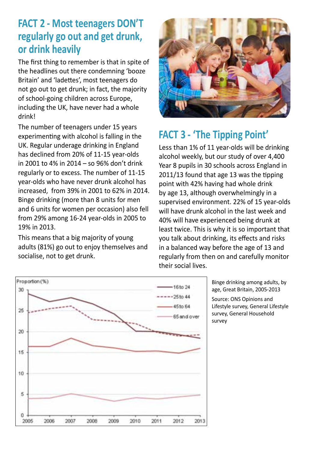### **FACT 2 - Most teenagers DON'T regularly go out and get drunk, or drink heavily**

The first thing to remember is that in spite of the headlines out there condemning 'booze Britain' and 'ladettes', most teenagers do not go out to get drunk; in fact, the majority of school-going children across Europe, including the UK, have never had a whole drink!

The number of teenagers under 15 years experimenting with alcohol is falling in the UK. Regular underage drinking in England has declined from 20% of 11-15 year-olds in 2001 to 4% in 2014 – so 96% don't drink regularly or to excess. The number of 11-15 year-olds who have never drunk alcohol has increased, from 39% in 2001 to 62% in 2014. Binge drinking (more than 8 units for men and 6 units for women per occasion) also fell from 29% among 16-24 year-olds in 2005 to 19% in 2013.

This means that a big majority of young adults (81%) go out to enjoy themselves and socialise, not to get drunk.

Proportion (%)



### **FACT 3 - 'The Tipping Point'**

Less than 1% of 11 year-olds will be drinking alcohol weekly, but our study of over 4,400 Year 8 pupils in 30 schools across England in 2011/13 found that age 13 was the tipping point with 42% having had whole drink by age 13, although overwhelmingly in a supervised environment. 22% of 15 year-olds will have drunk alcohol in the last week and 40% will have experienced being drunk at least twice. This is why it is so important that you talk about drinking, its effects and risks in a balanced way before the age of 13 and regularly from then on and carefully monitor their social lives.



Lifestyle survey, General Lifestyle survey, General Household survey

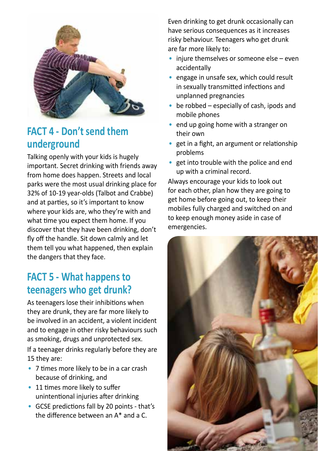

#### **FACT 4 - Don't send them underground**

Talking openly with your kids is hugely important. Secret drinking with friends away from home does happen. Streets and local parks were the most usual drinking place for 32% of 10-19 year-olds (Talbot and Crabbe) and at parties, so it's important to know where your kids are, who they're with and what time you expect them home. If you discover that they have been drinking, don't fly off the handle. Sit down calmly and let them tell you what happened, then explain the dangers that they face.

### **FACT 5 - What happens to teenagers who get drunk?**

As teenagers lose their inhibitions when they are drunk, they are far more likely to be involved in an accident, a violent incident and to engage in other risky behaviours such as smoking, drugs and unprotected sex.

If a teenager drinks regularly before they are 15 they are:

- 7 times more likely to be in a car crash because of drinking, and
- 11 times more likely to suffer unintentional injuries after drinking
- GCSE predictions fall by 20 points that's the difference between an A\* and a C.

Even drinking to get drunk occasionally can have serious consequences as it increases risky behaviour. Teenagers who get drunk are far more likely to:

- injure themselves or someone else even accidentally
- engage in unsafe sex, which could result in sexually transmitted infections and unplanned pregnancies
- be robbed especially of cash, ipods and mobile phones
- end up going home with a stranger on their own
- get in a fight, an argument or relationship problems
- get into trouble with the police and end up with a criminal record.

Always encourage your kids to look out for each other, plan how they are going to get home before going out, to keep their mobiles fully charged and switched on and to keep enough money aside in case of emergencies.

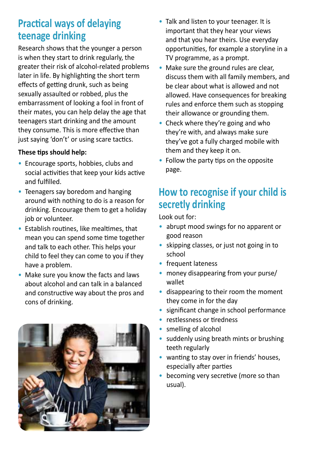### **Practical ways of delaying teenage drinking**

Research shows that the younger a person is when they start to drink regularly, the greater their risk of alcohol-related problems later in life. By highlighting the short term effects of getting drunk, such as being sexually assaulted or robbed, plus the embarrassment of looking a fool in front of their mates, you can help delay the age that teenagers start drinking and the amount they consume. This is more effective than just saying 'don't' or using scare tactics.

#### **These tips should help:**

- Encourage sports, hobbies, clubs and social activities that keep your kids active and fulfilled.
- Teenagers say boredom and hanging around with nothing to do is a reason for drinking. Encourage them to get a holiday iob or volunteer.
- Establish routines, like mealtimes, that mean you can spend some time together and talk to each other. This helps your child to feel they can come to you if they have a problem.
- Make sure you know the facts and laws about alcohol and can talk in a balanced and constructive way about the pros and cons of drinking.



- Talk and listen to your teenager. It is important that they hear your views and that you hear theirs. Use everyday opportunities, for example a storyline in a TV programme, as a prompt.
- Make sure the ground rules are clear, discuss them with all family members, and be clear about what is allowed and not allowed. Have consequences for breaking rules and enforce them such as stopping their allowance or grounding them.
- Check where they're going and who they're with, and always make sure they've got a fully charged mobile with them and they keep it on.
- Follow the party tips on the opposite page.

### **How to recognise if your child is secretly drinking**

Look out for:

- abrupt mood swings for no apparent or good reason
- skipping classes, or just not going in to school
- frequent lateness
- money disappearing from your purse/ wallet
- disappearing to their room the moment they come in for the day
- significant change in school performance
- restlessness or tiredness
- smelling of alcohol
- suddenly using breath mints or brushing teeth regularly
- wanting to stay over in friends' houses, especially after parties
- becoming very secretive (more so than usual).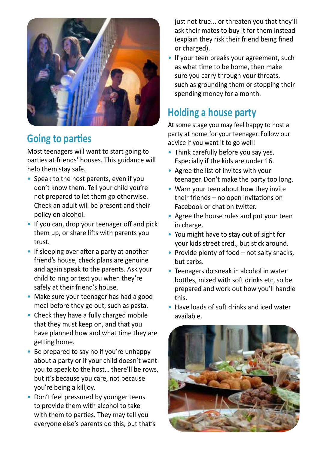

### **Going to parties**

Most teenagers will want to start going to parties at friends' houses. This guidance will help them stay safe.

- Speak to the host parents, even if you don't know them. Tell your child you're not prepared to let them go otherwise. Check an adult will be present and their policy on alcohol.
- If you can, drop your teenager off and pick them up, or share lifts with parents you trust.
- If sleeping over after a party at another friend's house, check plans are genuine and again speak to the parents. Ask your child to ring or text you when they're safely at their friend's house.
- Make sure your teenager has had a good meal before they go out, such as pasta.
- Check they have a fully charged mobile that they must keep on, and that you have planned how and what time they are getting home.
- Be prepared to say no if you're unhappy about a party or if your child doesn't want you to speak to the host… there'll be rows, but it's because you care, not because you're being a killjoy.
- Don't feel pressured by younger teens to provide them with alcohol to take with them to parties. They may tell you everyone else's parents do this, but that's

just not true... or threaten you that they'll ask their mates to buy it for them instead (explain they risk their friend being fined or charged).

• If your teen breaks your agreement, such as what time to be home, then make sure you carry through your threats, such as grounding them or stopping their spending money for a month.

### **Holding a house party**

At some stage you may feel happy to host a party at home for your teenager. Follow our advice if you want it to go well!

- Think carefully before you say yes. Especially if the kids are under 16.
- Agree the list of invites with your teenager. Don't make the party too long.
- Warn your teen about how they invite their friends – no open invitations on Facebook or chat on twitter.
- Agree the house rules and put your teen in charge.
- You might have to stay out of sight for your kids street cred., but stick around.
- Provide plenty of food not salty snacks, but carbs.
- Teenagers do sneak in alcohol in water bottles, mixed with soft drinks etc, so be prepared and work out how you'll handle this.
- Have loads of soft drinks and iced water available.

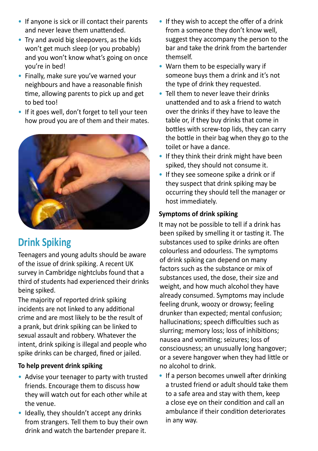- If anyone is sick or ill contact their parents and never leave them unattended.
- Try and avoid big sleepovers, as the kids won't get much sleep (or you probably) and you won't know what's going on once you're in bed!
- Finally, make sure you've warned your neighbours and have a reasonable finish time, allowing parents to pick up and get to bed too!
- If it goes well, don't forget to tell your teen how proud you are of them and their mates.



### **Drink Spiking**

Teenagers and young adults should be aware of the issue of drink spiking. A recent UK survey in Cambridge nightclubs found that a third of students had experienced their drinks being spiked.

The majority of reported drink spiking incidents are not linked to any additional crime and are most likely to be the result of a prank, but drink spiking can be linked to sexual assault and robbery. Whatever the intent, drink spiking is illegal and people who spike drinks can be charged, fined or jailed.

#### **To help prevent drink spiking**

- Advise your teenager to party with trusted friends. Encourage them to discuss how they will watch out for each other while at the venue.
- Ideally, they shouldn't accept any drinks from strangers. Tell them to buy their own drink and watch the bartender prepare it.
- If they wish to accept the offer of a drink from a someone they don't know well, suggest they accompany the person to the bar and take the drink from the bartender themself.
- Warn them to be especially wary if someone buys them a drink and it's not the type of drink they requested.
- Tell them to never leave their drinks unattended and to ask a friend to watch over the drinks if they have to leave the table or, if they buy drinks that come in bottles with screw-top lids, they can carry the bottle in their bag when they go to the toilet or have a dance.
- If they think their drink might have been spiked, they should not consume it.
- If they see someone spike a drink or if they suspect that drink spiking may be occurring they should tell the manager or host immediately.

#### **Symptoms of drink spiking**

It may not be possible to tell if a drink has been spiked by smelling it or tasting it. The substances used to spike drinks are often colourless and odourless. The symptoms of drink spiking can depend on many factors such as the substance or mix of substances used, the dose, their size and weight, and how much alcohol they have already consumed. Symptoms may include feeling drunk, woozy or drowsy; feeling drunker than expected; mental confusion; hallucinations; speech difficulties such as slurring; memory loss; loss of inhibitions; nausea and vomiting; seizures; loss of consciousness; an unusually long hangover; or a severe hangover when they had little or no alcohol to drink.

• If a person becomes unwell after drinking a trusted friend or adult should take them to a safe area and stay with them, keep a close eye on their condition and call an ambulance if their condition deteriorates in any way.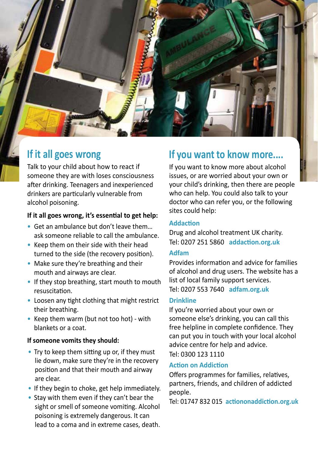

### **If it all goes wrong**

Talk to your child about how to react if someone they are with loses consciousness after drinking. Teenagers and inexperienced drinkers are particularly vulnerable from alcohol poisoning.

#### **If it all goes wrong, it's essential to get help:**

- Get an ambulance but don't leave them… ask someone reliable to call the ambulance.
- Keep them on their side with their head turned to the side (the recovery position).
- Make sure they're breathing and their mouth and airways are clear.
- If they stop breathing, start mouth to mouth resuscitation.
- Loosen any tight clothing that might restrict their breathing.
- Keep them warm (but not too hot) with blankets or a coat.

#### **If someone vomits they should:**

- Try to keep them sitting up or, if they must lie down, make sure they're in the recovery position and that their mouth and airway are clear.
- If they begin to choke, get help immediately.
- Stay with them even if they can't bear the sight or smell of someone vomiting. Alcohol poisoning is extremely dangerous. It can lead to a coma and in extreme cases, death.

### **If you want to know more....**

If you want to know more about alcohol issues, or are worried about your own or your child's drinking, then there are people who can help. You could also talk to your doctor who can refer you, or the following sites could help:

#### **Addaction**

Drug and alcohol treatment UK charity. Tel: 0207 251 5860 **[addaction.org.uk](http://www.addaction.org.uk)**

#### **Adfam**

Provides information and advice for families of alcohol and drug users. The website has a list of local family support services. Tel: 0207 553 7640 **[adfam.org.uk](http://www.adfam.org.uk)**

#### **Drinkline**

If you're worried about your own or someone else's drinking, you can call this free helpline in complete confidence. They can put you in touch with your local alcohol advice centre for help and advice.

Tel: 0300 123 1110

#### **Action on Addiction**

Offers programmes for families, relatives, partners, friends, and children of addicted people.

Tel: 01747 832 015 **[actiononaddiction.org.uk](http://www.actiononaddiction.org.uk/For-Families.aspx)**